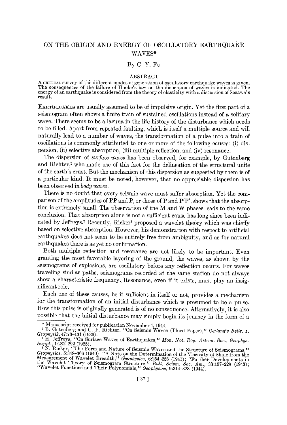## ON THE ORIGIN AND ENERGY OF OSCILLATORY EARTHQUAKE WAVES\*

## By C. Y. Fu

## ABSTRACT

A CRITICAL survey of the different modes of generation of oscillatory earthquake waves is given.<br>The consequences of the failure of Hooke's law on the dispersion of waves is indicated. The energy of an earthquake is considered from the theory of elasticity with a discussion of Sezawa's result.

EARTHQUAKES are usually assumed to be of impulsive origin. Yet the first part of a seismogram often shows a finite train of sustained oscillations instead of a solitary wave. There seems to be a lacuna in the life history of the disturbance which needs to be filled. Apart from repeated faulting, which is itself a multiple source and will naturally lead to a number of waves, the transformation of a pulse into a train of oscillations is commonly attributed to one or more of the following causes: (i) dispersion, (it) selective absorption, (iii) multiple reflection, and (iv) resonance.

The dispersion of *surface waves* has been observed, for example, by Gutenberg and Richter,<sup>1</sup> who made use of this fact for the delineation of the structural units of the earth's crust. But the mechanism of this dispersion as suggested by them is of a particular kind. It must be noted, however, that no appreciable dispersion has been observed in *body waves.* 

There is no doubt that every seismic wave must suffer absorption. Yet the comparison of the amplitudes of PP and P, or those of P and  $P'P'$ , shows that the absorption is extremely small. The observation of the M and W phases leads to the same conclusion. That absorption alone is not a sufficient cause has long since been indicated by Jeffreys.<sup>2</sup> Recently, Ricker<sup>3</sup> proposed a wavelet theory which was chiefly based on selective absorption. However, his demonstration with respect to artificial earthquakes does not seem to be entirely free from ambiguity, and as for natural earthquakes there is as yet no confirmation.

Both multiple reflection and resonance are not likely to be important. Even granting the most favorable layering of the ground, the waves, as shown by the seismograms of explosions, are oscillatory before any reflection occurs. For waves traveling similar paths, seismograms recorded at the same station do not always show a characteristic frequency. Resonance, even if it exists, must play an insignificant role.

Each one of these causes, be it sufficient in itself or not, provides a mechanism for the transformation of an initial disturbance which is presumed to be a pulse. How this pulse is originally generated is of no consequence. Alternatively, it is also possible that the initial disturbance may simply begin its iourney in the form of a

<sup>\*</sup> Manuscript received for publication November 4, 1944.

<sup>&</sup>lt;sup>1</sup> B. Gutenberg and C. F. Richter, "On Seismic Waves (Third Paper)," Gerland's Beitr. z. *Geophysik;* 47:73-131 (1936).

H. Jeffreys, "On Surface Waves of Earthquakes," Mon. Not. Roy. Astron. Soc., Geophys. *Suppl., 1:282-292* (1925).

<sup>&</sup>lt;sup>3</sup> N. Ricker, "The Form and Nature of Seismic Waves and the Structure of Seismograms,"<br>*Geophysics*, 5:348-366 (1940); "A Note on the Determination of the Viscosity of Shale from the Measurement of Wavelet Breadth," Geophysics, 6:254-258 (1941); "Further Developments in<br>the Wavelet Theory of Seismogram Structure," Bull. Seism. Soc. Am., 33:197-228 (1943);<br>"Wavelet Functions and Their Polynomials," Geop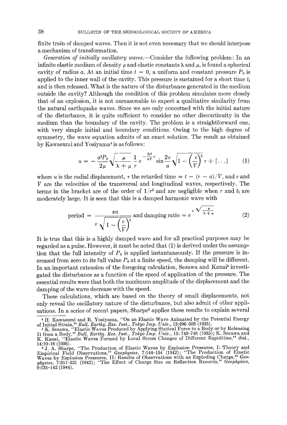finite train of damped waves. Then it is not even necessary that we should interpose a mechanism of transformation.

*Generation of initially oscillatory waves.--Consider* the following problem: In an infinite elastic medium of density  $\rho$  and elastic constants  $\lambda$  and  $\mu$ , is found a spherical cavity of radius a. At an initial time  $t = 0$ , a uniform and constant pressure  $P_0$  is applied to the inner wall of the cavity. This pressure is sustained for a short time  $t_1$ and is then released. What is the nature of the disturbance generated in the medium outside the cavity? Although the condition of this problem simulates more closely that of an explosion, it is not unreasonable to expect a qualitative similarity from the natural earthquake waves. Since we are only concerned with the initial nature of the disturbance, it is quite sufficient to consider no other discontinuity in the medium than the boundary of the cavity. The problem is a straightforward one, with very simple initial and boundary conditions. Owing to the high degree of symmetry, the wave equation admits of an exact solution. The result as obtained  $by$  Kawasumi and Yosiyama<sup>4</sup> is as follows:

$$
u = -\frac{a^2 P_0}{2\mu} \sqrt{\frac{\mu}{\lambda + \mu}} \frac{1}{r} e^{-\frac{2\pi^2}{aV}r} \sin \frac{2v}{a} \sqrt{1 - \left(\frac{v}{V}\right)^2} \tau + [\dots] \tag{1}
$$

where u is the radial displacement,  $\tau$  the retarded time  $= t - (r - a)/V$ , and v and V are the velocities of the transversal and longitudinal waves, respectively. The terms in the bracket are of the order of  $1/r^2$  and are negligible when r and  $t_1$  are moderately large. It is seen that this is a damped harmonic wave with

period = 
$$
\frac{\pi a}{v \sqrt{1 - \left(\frac{v}{V}\right)^2}}
$$
 and damping ratio =  $e^{\pi \sqrt{\frac{\mu}{\lambda + \mu}}}$  (2)

It is true that this is a highly damped wave and for all practical purposes may be regarded as a pulse. However, it must be noted that (1) is derived under the assumption that the full intensity of  $P_0$  is applied instantaneously. If the pressure is increased from zero to its full value  $P_0$  at a finite speed, the damping will be different. In an important extension of the foregoing calculation, Sezawa and Kanai<sup>5</sup> investigated the disturbance as a function of the speed of application of the pressure. The essential results were that both the maximum amplitude of the displacement and the damping of the wave decrease with the speed.

These calculations, which are based on the theory of small displacements, not only reveal the oscillatory nature of the disturbance, but also admit of other applications. In a series of recent papers, Sharpe<sup>6</sup> applies these results to explain several

<sup>4</sup> H. Kawasumi and R. Yosiyama, *"On* an Elastic Wave Animated by the Potential Energy

of Initial Strain," *Bull. Earthq. Res. Inst., Tokyo Imp. Univ.*, 13:496–503 (1935).<br><sup>5</sup> K. Sezawa, ''Elastic Waves Produced by Applying Statical Force to a Body or by Releasing It from a Body, '~ *Bull. Earthq. Res. Inst., Tokyo Imp. Univ.,* 13:740-748 (1935); K. Sezawa and K. Kanai, "Elastic Waves Formed by Local Stress Changes of Different Rapidities/~ *ibid.,* 

<sup>14:10-16 (1936).</sup>  6 j. A. Sharpe, "The Production of Elastic Waves by Explosion Pressures, I: Theory and Empirical Field Observations," Geophysics, 7:144–154 (1942); "The Production of Elastic<br>Waves by Explosion Pressures, II: Results of Observations with an Exploding Charge," Geo-<br>physics, 7:311–321 (1942); "The Effect of Ch 9:131-142 (1944).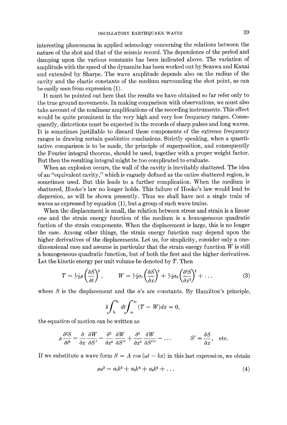interesting phenomena in applied seismology concerning the relations between the nature of the shot and that of the seismic record. The dependence of the period and damping upon the various constants has been indicated above. The variation of amplitude with the speed of the dynamite has been worked out by Sezawa and Kanai and extended by Sharpe. The wave amplitude depends also on the radius of the cavity and the elastic constants of the medium surrounding the shot point, as can be easily seen from expression (1).

It must be pointed out here that the results we have obtained so far refer only to the true ground movements. In making comparison with observations, we must also take account of the nonlinear amplifications of the recording instruments. This effect would be quite prominent in the very high and very low frequency ranges. Consequently, distortions must be expected in the records of sharp pulses and long waves. It is sometimes justifiable to discard these components of the extreme frequency ranges in drawing certain *qualitative* conclusions. Strictly speaking, when a quantitative comparison is to be made, the principle of superposition, and consequently the Fourier integral theorem, should be used, together with a proper weight factor. But then the resulting integral might be too complicated to evaluate.

When an explosion occurs, the wall of the cavity is inevitably shattered. The idea of an "equivalent cavity," which is vaguely defined as the entire shattered region, is sometimes used. But this leads to a further complication. When the medium is shattered, Hooke's law no longer holds. This failure of Hooke's law would lead to dispersion, as will be shown presently. Thus we shall have not a single train of waves as expressed by equation (1), but a group of such wave trains.

When the displacement is small, the relation between stress and strain is a linear one and the strain energy function of the medium is a homogeneous quadratic fuction of the strain components. When the displacement is large, this is no longer the case. Among other things, the strain energy function may depend upon the higher derivatives of the displacements. Let us, for simplicity, consider only a onedimensional case and assume in particular that the strain energy function  $W$  is still a homogeneous quadratic function, but of both the first and the higher derivatives. Let the kinetic energy per unit volume be denoted by  $T$ . Then

$$
T = \frac{1}{2}\rho \left(\frac{\partial S}{\partial t}\right)^2, \qquad W = \frac{1}{2}a_1 \left(\frac{\partial S}{\partial x}\right)^2 + \frac{1}{2}a_2 \left(\frac{\partial^2 S}{\partial x^2}\right)^2 + \dots \tag{3}
$$

where  $S$  is the displacement and the  $a$ 's are constants. By Hamilton's principle,

$$
\delta \int_{t_1}^{t_2} dt \int_{x_1}^{x_2} (T - W) dx = 0,
$$

the equation of motion can be written as

$$
\rho \frac{\partial^2 S}{\partial t^2} = \frac{\partial}{\partial x} \frac{\partial W}{\partial S'} - \frac{\partial^2}{\partial x^2} \frac{\partial W}{\partial S''} + \frac{\partial^3}{\partial x^3} \frac{\partial W}{\partial S'''} - \dots \qquad S' = \frac{\partial S}{\partial x}, \text{ etc.}
$$

If we substitute a wave form  $S = A \cos(\omega t - kx)$  in this last expression, we obtain

$$
\rho \omega^2 = a_1 k^2 + a_2 k^4 + a_3 k^6 + \dots \tag{4}
$$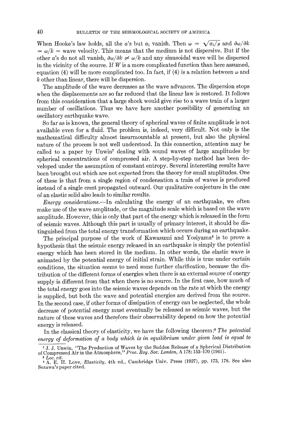When Hooke's law holds, all the a's but  $a_1$  vanish. Then  $\omega = \sqrt{a_1/\rho}$  and  $\partial \omega / \partial k$  $=\omega/k =$  wave velocity. This means that the medium is not dispersive. But if the other a's do not all vanish,  $\partial \omega / \partial k \neq \omega / k$  and any sinusoidal wave will be dispersed in the vicinity of the source. If  $W$  is a more complicated function than here assumed, equation (4) will be more complicated too. In fact, if (4) is a relation between  $\omega$  and k other than linear, there will be dispersion.

The amplitude of the wave decreases as the wave advances. The dispersion stops when the displacements are so far reduced that the linear law is restored. It follows from this consideration that a large shock would give rise to a wave train of a larger number of oscillations. Thus we have here another possibility of generating an oscillatory earthquake wave.

So far as is known, the general theory of spherical waves of finite amplitude is not available even for a fluid. The problem is, indeed, very difficult. Not only is the mathematical difficulty almost insurmountable at present, but also the physical nature of the process is not well understood. In this connection, attention may be called to a paper by Unwin<sup>7</sup> dealing with sound waves of large amplitudes by spherical concentrations of compressed air. A step-by-step method has been developed under the assumption of constant entropy. Several interesting results have been brought out which are not expected from the theory for small amplitudes. One of these is that from a single region of condensation a train of waves is produced instead of a single crest propagated outward. Our qualitative conjecture in the case of an elastic solid also leads to similar results.

*Energy considerations.--In* calculating the energy of an earthquake, we often make use of the wave amplitude, or the magnitude scale which is based on the wave amplitude. However, this is only that part of the energy which is released in the form of seismic waves. Although this part is usually of primary interest, it should be distinguished from the total energy transformation which occurs during an earthquake.

The principal purpose of the work of Kawasumi and Yosiyama<sup>s</sup> is to prove a hypothesis that the seismic energy released in an earthquake is simply the potential energy which has been stored in the medium. In other words, the elastic wave is animated by the potential energy of initial strain. While this is true under certain conditions, the situation seems to need some further clarification, because the distribution of the different forms of energies when there is an external source of energy supply is different from that when there is no source. In the first case, how much of the total energy goes into the seismic waves depends on the rate at which the energy is supplied, but both the wave and potential energies are derived from the source. In the second case, if other forms of dissipation of energy can be neglected, the whole decrease of potential energy must eventually be released as seismic waves, but the nature of these waves and therefore their observability depend on how the potential energy is released.

In the classical theory of elasticity, we have the following theorem :9 *The potential*  energy of deformation of a body which is in equilibrium under given load is equal to

<sup>7</sup> j. j. Unwin, "The Production of Waves by the Sudden Release of a Spherical Distribution of Compressed Air in the Atmosphere, ¢' *Proc. Roy. Soc. London,* A 178:153-170 (1941).

*s Loc. cit.* 

<sup>9</sup> A. E. H. Love, *Elasticity,* 4th ed., Cambridge Univ. Press (1927), pp. 173, 178. See also Sezawa's paper cited.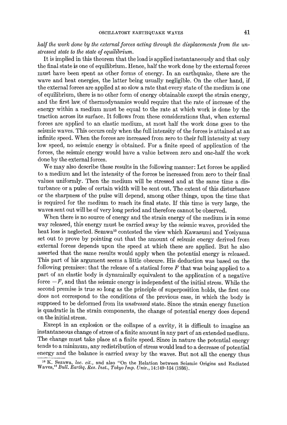## *half the work done by the external forces acting through the displacements from the unstressed state to the state of equilibrium.*

It is implied in this theorem that the load is applied instantaneously and that only the final state is one of equilibrium. Hence, half the work done by the external forces must have been spent as other forms of energy. In an earthquake, these are the wave and heat energies, the latter being usually negligible. On the other hand, if the external forces are applied at so slow a rate that every state of the medium is one of equilibrium, there is no other form of energy obtainable except the strain energy, and the first law. of thermodynamics would require that the rate of increase of the energy within a medium must be equal to the rate at which work is done by the traction across its surface. It follows from these considerations that, when external forces are applied to an elastic medium, at most half the work done goes to the seismic waves. This occurs only when the full intensity of the forces is attained at an infinite speed. When the forces are increased from zero to their full intensity at very low speed, no seismic energy is obtained. For a finite speed of application of the forces, the seismic energy would have a value between zero and one-half the work done by the external forces.

We may also describe these results in the following manner: Let forces be applied to a medium and let the intensity of the forces be increased from zero to their final values uniformly. Then the medium will be stressed and at the same time a disturbance or a pulse of certain width will be sent out. The.extent of this disturbance or the sharpness of the pulse will depend, among other things, upon the time that is required for the medium to reach its final state. If this time is very large, the waves sent out will be of very long period and therefore cannot be observed.

When there is no source of energy and the strain energy of the medium is in some way released, this energy must be carried away by the seismic waves, provided the heat loss is neglected. Sezawa<sup>10</sup> contested the view which Kawasumi and Yosiyama set out to prove by pointing out that the amount of seismic energy derived from external forces depends upon the speed at which these are applied. But he also asserted that the same results would apply when the potential energy is released. This part of his argument seems a little obscure. His deduction was based on the following premises: that the release of a statical force  $F$  that was being applied to a part of an elastic body is dynamically equivalent to the application of a negative force  $-F$ , and that the seismic energy is independent of the initial stress. While the second premise is true so long as the principle of superposition holds, the first one does not correspond to the conditions of the previous case, in which the body is supposed to be deformed from its *unstressed* state. Since the strain energy function is quadratic in the strain components, the change of potential energy does depend on the initial stress.

Except in an explosion or the collapse of a cavity, it is difficult to imagine an instantaneous change of stress of a finite amount in any part of an extended medium. The change must take place at a finite speed. Since in nature the potential energy tends to a minimum, any redistribution of stress would lead to a decrease of potential energy and the balance is carried away by the waves. But not all the energy thus

<sup>:0</sup> K. Sezawa, *loc. cir.,* and also *"On* the Relation between Seismic Origins and Radiated Waves," *Bull. Earthq. Res. Inst., Tokyo Imp. Univ.,* 14:149-154 (1936).